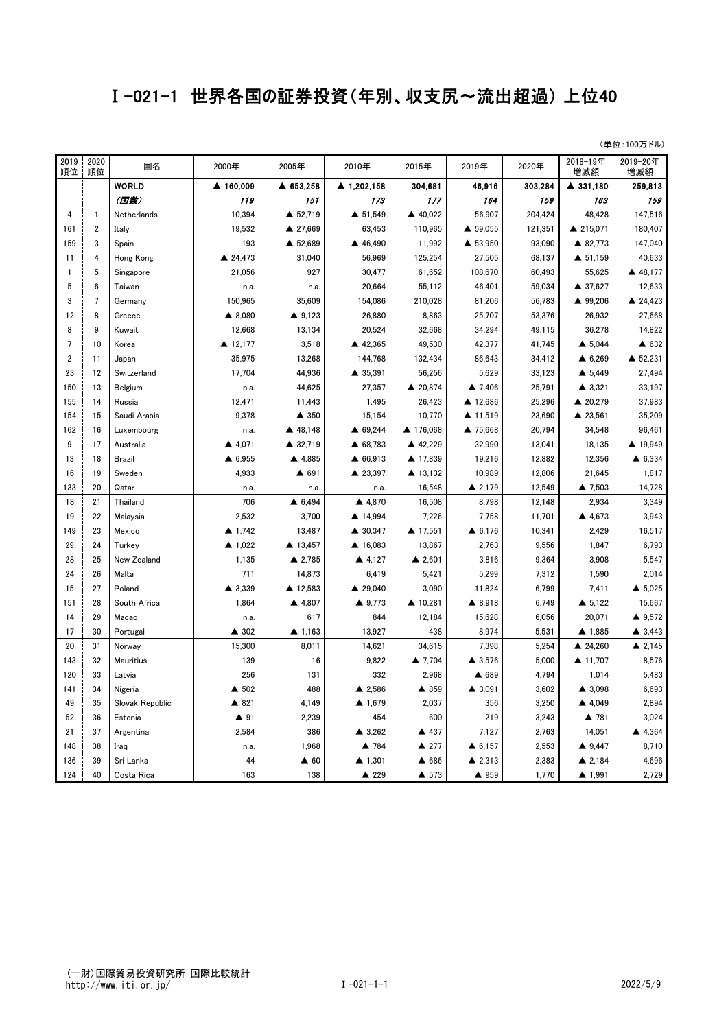## Ⅰ-021-1 世界各国の証券投資(年別、収支尻~流出超過) 上位40

| (単位:100万ドル) |  |
|-------------|--|
|             |  |

| 2019<br>順位      | 2020<br>順位       | 国名              | 2000年     | 2005年             | 2010年             | 2015年             | 2019年             | 2020年   | 2018-19年<br>増減額   | 2019-20年<br>増減額   |
|-----------------|------------------|-----------------|-----------|-------------------|-------------------|-------------------|-------------------|---------|-------------------|-------------------|
|                 |                  | <b>WORLD</b>    | ▲ 160,009 | ▲ 653,258         | ▲ 1,202,158       | 304.681           | 46,916            | 303,284 | ▲ 331,180         | 259,813           |
|                 |                  | (国数)            | 119       | 151               | 173               | 177               | 164               | 159     | 163               | 159               |
| $\overline{4}$  | $\mathbf{1}$     | Netherlands     | 10,394    | ▲ 52,719          | ▲ 51,549          | ▲ 40,022          | 56,907            | 204,424 | 48,428            | 147,516           |
| 161             | $\boldsymbol{2}$ | Italy           | 19,532    | ▲ 27,669          | 63,453            | 110,965           | ▲ 59,055          | 121,351 | ▲ 215,071         | 180,407           |
| 159             | 3                | Spain           | 193       | ▲ 52,689          | ▲ 46,490          | 11,992            | ▲ 53,950          | 93,090  | ▲ 82,773          | 147,040           |
| 11              | 4                | Hong Kong       | ▲ 24,473  | 31,040            | 56,969            | 125,254           | 27,505            | 68,137  | ▲ 51,159          | 40,633            |
| $\mathbf{1}$    | 5                | Singapore       | 21,056    | 927               | 30,477            | 61,652            | 108,670           | 60,493  | 55,625            | ▲ 48,177          |
| 5               | 6                | Taiwan          | n.a.      | n.a.              | 20,664            | 55,112            | 46,401            | 59,034  | ▲ 37,627          | 12,633            |
| 3               | $\overline{7}$   | Germany         | 150,965   | 35,609            | 154,086           | 210,028           | 81,206            | 56,783  | ▲ 99,206          | ▲ 24,423          |
| 12              | 8                | Greece          | ▲ 8,080   | 49,123            | 26,880            | 8,863             | 25,707            | 53,376  | 26,932            | 27,668            |
| 8               | 9                | Kuwait          | 12,668    | 13,134            | 20,524            | 32,668            | 34,294            | 49,115  | 36,278            | 14,822            |
| $7\overline{ }$ | 10               | Korea           | ▲ 12,177  | 3,518             | ▲ 42,365          | 49,530            | 42,377            | 41,745  | $\triangle$ 5,044 | ▲ 632             |
| $\overline{2}$  | 11               | Japan           | 35,975    | 13,268            | 144,768           | 132,434           | 86,643            | 34,412  | $\triangle$ 6,269 | ▲ 52,231          |
| 23              | 12               | Switzerland     | 17,704    | 44,936            | ▲ 35,391          | 56,256            | 5,629             | 33,123  | $\triangle$ 5,449 | 27,494            |
| 150             | 13               | Belgium         | n.a.      | 44,625            | 27,357            | ▲ 20,874          | ▲ 7,406           | 25,791  | $\triangle$ 3,321 | 33,197            |
| 155             | 14               | Russia          | 12,471    | 11,443            | 1,495             | 26,423            | ▲ 12,686          | 25,296  | ▲ 20,279          | 37,983            |
| 154             | 15               | Saudi Arabia    | 9,378     | ▲ 350             | 15,154            | 10,770            | ▲ 11,519          | 23,690  | ▲ 23,561          | 35,209            |
| 162             | 16               | Luxembourg      | n.a.      | ▲ 48,148          | ▲ 69,244          | ▲ 176,068         | ▲ 75,668          | 20,794  | 34,548            | 96,461            |
| 9               | 17               | Australia       | ▲ 4,071   | ▲ 32,719          | ▲ 68,783          | ▲ 42,229          | 32,990            | 13,041  | 18,135            | ▲ 19,949          |
| 13              | 18               | Brazil          | ▲ 6,955   | ▲ 4,885           | ▲ 66,913          | ▲ 17,839          | 19,216            | 12,882  | 12,356            | ▲ 6,334           |
| 16              | 19               | Sweden          | 4,933     | ▲ 691             | ▲ 23,397          | ▲ 13,132          | 10,989            | 12,806  | 21,645            | 1,817             |
| 133             | 20               | Qatar           | n.a.      | n.a.              | n.a.              | 16,548            | ▲ 2,179           | 12,549  | ▲ 7,503           | 14,728            |
| 18              | 21               | Thailand        | 706       | ▲ 6,494           | ▲ 4,870           | 16,508            | 8,798             | 12,148  | 2,934             | 3,349             |
| 19              | 22               | Malaysia        | 2,532     | 3,700             | ▲ 14,994          | 7,226             | 7,758             | 11,701  | ▲ 4,673           | 3,943             |
| 149             | 23               | Mexico          | 41,742    | 13,487            | ▲ 30,347          | ▲ 17,551          | $\triangle$ 6,176 | 10,341  | 2,429             | 16,517            |
| 29              | 24               | Turkey          | ▲ 1,022   | ▲ 13,457          | ▲ 16,083          | 13,867            | 2,763             | 9,556   | 1,847             | 6,793             |
| 28              | 25               | New Zealand     | 1,135     | ▲ 2,785           | ▲ 4,127           | $\triangle$ 2,601 | 3,816             | 9,364   | 3,908             | 5,547             |
| 24              | 26               | Malta           | 711       | 14,873            | 6,419             | 5,421             | 5,299             | 7,312   | 1,590             | 2,014             |
| 15              | 27               | Poland          | ▲ 3,339   | ▲ 12,583          | ▲ 29,040          | 3,090             | 11,824            | 6,799   | 7,411             | $\triangle$ 5,025 |
| 151             | 28               | South Africa    | 1,864     | ▲ 4,807           | ▲ 9,773           | ▲ 10,281          | ▲ 8,918           | 6,749   | $\triangle$ 5.122 | 15,667            |
| 14              | 29               | Macao           | n.a.      | 617               | 844               | 12,184            | 15,628            | 6,056   | 20,071            | ▲ 9,572           |
| 17              | 30               | Portugal        | ▲ 302     | $\triangle$ 1,163 | 13,927            | 438               | 8,974             | 5,531   | 41,885            | $\triangle$ 3,443 |
| 20              | 31               | Norway          | 15,300    | 8,011             | 14,621            | 34,615            | 7,398             | 5,254   | ▲ 24,260          | $\triangle$ 2,145 |
| 143             | 32               | Mauritius       | 139       | 16                | 9,822             | ▲ 7,704           | $\triangle$ 3,576 | 5,000   | ▲ 11,707          | 8,576             |
| 120             | 33               | Latvia          | 256       | 131               | 332               | 2,968             | ▲ 689             | 4,794   | 1,014             | 5,483             |
| 141             | 34               | Nigeria         | ▲ 502     | 488               | ▲ 2,586           | ▲ 859             | $\triangle$ 3,091 | 3,602   | $\triangle$ 3,098 | 6,693             |
| 49              | 35               | Slovak Republic | ▲ 821     | 4,149             | ▲ 1,679           | 2,037             | 356               | 3,250   | ▲ 4,049           | 2,894             |
| 52              | 36               | Estonia         | ▲ 91      | 2,239             | 454               | 600               | 219               | 3,243   | ▲ 781             | 3.024             |
| 21              | 37               | Argentina       | 2,584     | 386               | $\triangle$ 3,262 | ▲ 437             | 7,127             | 2,763   | 14,051            | ▲ 4,364           |
| 148             | 38               | Iraq            | n.a.      | 1,968             | ▲ 784             | ▲ 277             | $\triangle$ 6,157 | 2,553   | 49,447            | 8,710             |
| 136             | 39               | Sri Lanka       | 44        | $\triangle$ 60    | $\triangle$ 1,301 | ▲ 686             | $\triangle$ 2,313 | 2,383   | ▲ 2,184           | 4,696             |
| 124             | 40               | Costa Rica      | 163       | 138               | ▲ 229             | ▲ 573             | ▲ 959             | 1,770   | ▲ 1,991           | 2,729             |